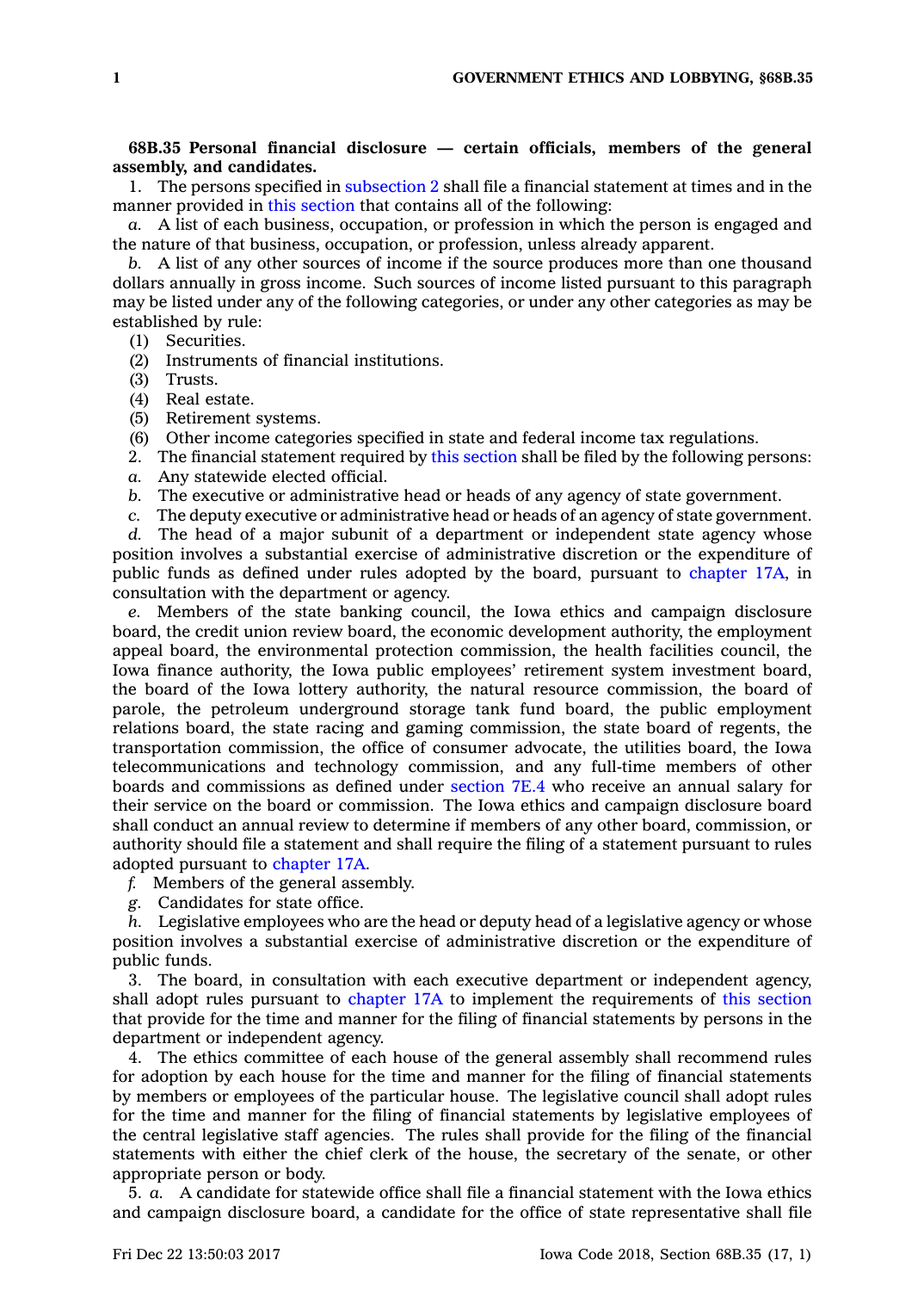## **68B.35 Personal financial disclosure — certain officials, members of the general assembly, and candidates.**

1. The persons specified in [subsection](https://www.legis.iowa.gov/docs/code/68B.35.pdf) 2 shall file <sup>a</sup> financial statement at times and in the manner provided in this [section](https://www.legis.iowa.gov/docs/code/68B.35.pdf) that contains all of the following:

*a.* A list of each business, occupation, or profession in which the person is engaged and the nature of that business, occupation, or profession, unless already apparent.

*b.* A list of any other sources of income if the source produces more than one thousand dollars annually in gross income. Such sources of income listed pursuant to this paragraph may be listed under any of the following categories, or under any other categories as may be established by rule:

- (1) Securities.
- (2) Instruments of financial institutions.
- (3) Trusts.
- (4) Real estate.
- (5) Retirement systems.
- (6) Other income categories specified in state and federal income tax regulations.
- 2. The financial statement required by this [section](https://www.legis.iowa.gov/docs/code/68B.35.pdf) shall be filed by the following persons: *a.* Any statewide elected official.
- *b.* The executive or administrative head or heads of any agency of state government.
- *c.* The deputy executive or administrative head or heads of an agency of state government.

*d.* The head of <sup>a</sup> major subunit of <sup>a</sup> department or independent state agency whose position involves <sup>a</sup> substantial exercise of administrative discretion or the expenditure of public funds as defined under rules adopted by the board, pursuant to [chapter](https://www.legis.iowa.gov/docs/code//17A.pdf) 17A, in consultation with the department or agency.

*e.* Members of the state banking council, the Iowa ethics and campaign disclosure board, the credit union review board, the economic development authority, the employment appeal board, the environmental protection commission, the health facilities council, the Iowa finance authority, the Iowa public employees' retirement system investment board, the board of the Iowa lottery authority, the natural resource commission, the board of parole, the petroleum underground storage tank fund board, the public employment relations board, the state racing and gaming commission, the state board of regents, the transportation commission, the office of consumer advocate, the utilities board, the Iowa telecommunications and technology commission, and any full-time members of other boards and commissions as defined under [section](https://www.legis.iowa.gov/docs/code/7E.4.pdf) 7E.4 who receive an annual salary for their service on the board or commission. The Iowa ethics and campaign disclosure board shall conduct an annual review to determine if members of any other board, commission, or authority should file <sup>a</sup> statement and shall require the filing of <sup>a</sup> statement pursuant to rules adopted pursuant to [chapter](https://www.legis.iowa.gov/docs/code//17A.pdf) 17A.

- *f.* Members of the general assembly.
- *g.* Candidates for state office.

*h.* Legislative employees who are the head or deputy head of <sup>a</sup> legislative agency or whose position involves <sup>a</sup> substantial exercise of administrative discretion or the expenditure of public funds.

3. The board, in consultation with each executive department or independent agency, shall adopt rules pursuant to [chapter](https://www.legis.iowa.gov/docs/code//17A.pdf) 17A to implement the requirements of this [section](https://www.legis.iowa.gov/docs/code/68B.35.pdf) that provide for the time and manner for the filing of financial statements by persons in the department or independent agency.

4. The ethics committee of each house of the general assembly shall recommend rules for adoption by each house for the time and manner for the filing of financial statements by members or employees of the particular house. The legislative council shall adopt rules for the time and manner for the filing of financial statements by legislative employees of the central legislative staff agencies. The rules shall provide for the filing of the financial statements with either the chief clerk of the house, the secretary of the senate, or other appropriate person or body.

5. *a.* A candidate for statewide office shall file <sup>a</sup> financial statement with the Iowa ethics and campaign disclosure board, <sup>a</sup> candidate for the office of state representative shall file